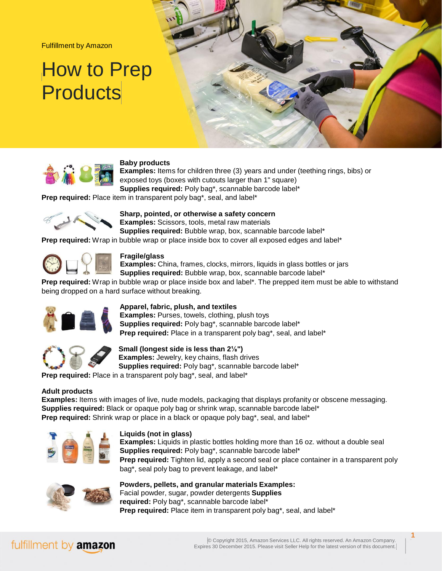Fulfillment by Amazon

# How to Prep **Products**



### **Baby products**

**Examples:** Items for children three (3) years and under (teething rings, bibs) or exposed toys (boxes with cutouts larger than 1" square) **Supplies required:** Poly bag\*, scannable barcode label\*

**Prep required:** Place item in transparent poly bag\*, seal, and label\*



**Sharp, pointed, or otherwise a safety concern Examples:** Scissors, tools, metal raw materials **Supplies required:** Bubble wrap, box, scannable barcode label\*

**Prep required:** Wrap in bubble wrap or place inside box to cover all exposed edges and label\*



### **Fragile/glass**

**Examples:** China, frames, clocks, mirrors, liquids in glass bottles or jars **Supplies required:** Bubble wrap, box, scannable barcode label\*

**Prep required:** Wrap in bubble wrap or place inside box and label\*. The prepped item must be able to withstand being dropped on a hard surface without breaking.



### **Apparel, fabric, plush, and textiles**

**Examples:** Purses, towels, clothing, plush toys **Supplies required:** Poly bag\*, scannable barcode label\* **Prep required:** Place in a transparent poly bag\*, seal, and label\*



**Small (longest side is less than 2⅛") Examples:** Jewelry, key chains, flash drives **Supplies required:** Poly bag\*, scannable barcode label\*

**Prep required:** Place in a transparent poly bag\*, seal, and label\*

### **Adult products**

**Examples:** Items with images of live, nude models, packaging that displays profanity or obscene messaging. **Supplies required:** Black or opaque poly bag or shrink wrap, scannable barcode label\* **Prep required:** Shrink wrap or place in a black or opaque poly bag\*, seal, and label\*



### **Liquids (not in glass)**

**Examples:** Liquids in plastic bottles holding more than 16 oz. without a double seal **Supplies required:** Poly bag\*, scannable barcode label\* **Prep required:** Tighten lid, apply a second seal or place container in a transparent poly bag\*, seal poly bag to prevent leakage, and label\*



**Powders, pellets, and granular materials Examples:** Facial powder, sugar, powder detergents **Supplies required:** Poly bag\*, scannable barcode label\* **Prep required:** Place item in transparent poly bag\*, seal, and label\*

## fulfillment by amazon

**1**